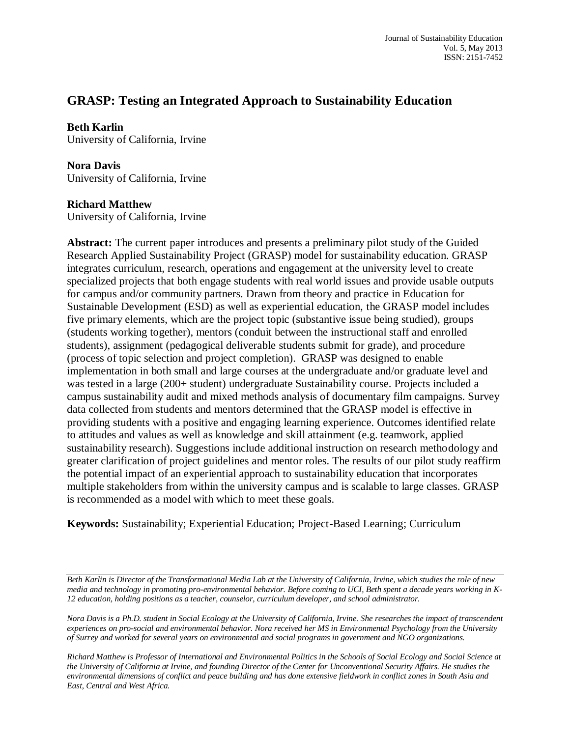# **GRASP: Testing an Integrated Approach to Sustainability Education**

#### **Beth Karlin**

University of California, Irvine

# **Nora Davis**

University of California, Irvine

## **Richard Matthew**

University of California, Irvine

**Abstract:** The current paper introduces and presents a preliminary pilot study of the Guided Research Applied Sustainability Project (GRASP) model for sustainability education. GRASP integrates curriculum, research, operations and engagement at the university level to create specialized projects that both engage students with real world issues and provide usable outputs for campus and/or community partners. Drawn from theory and practice in Education for Sustainable Development (ESD) as well as experiential education, the GRASP model includes five primary elements, which are the project topic (substantive issue being studied), groups (students working together), mentors (conduit between the instructional staff and enrolled students), assignment (pedagogical deliverable students submit for grade), and procedure (process of topic selection and project completion). GRASP was designed to enable implementation in both small and large courses at the undergraduate and/or graduate level and was tested in a large (200+ student) undergraduate Sustainability course. Projects included a campus sustainability audit and mixed methods analysis of documentary film campaigns. Survey data collected from students and mentors determined that the GRASP model is effective in providing students with a positive and engaging learning experience. Outcomes identified relate to attitudes and values as well as knowledge and skill attainment (e.g. teamwork, applied sustainability research). Suggestions include additional instruction on research methodology and greater clarification of project guidelines and mentor roles. The results of our pilot study reaffirm the potential impact of an experiential approach to sustainability education that incorporates multiple stakeholders from within the university campus and is scalable to large classes. GRASP is recommended as a model with which to meet these goals.

**Keywords:** Sustainability; Experiential Education; Project-Based Learning; Curriculum

*Beth Karlin is Director of the Transformational Media Lab at the University of California, Irvine, which studies the role of new media and technology in promoting pro-environmental behavior. Before coming to UCI, Beth spent a decade years working in K-12 education, holding positions as a teacher, counselor, curriculum developer, and school administrator.*

*Nora Davis is a Ph.D. student in Social Ecology at the University of California, Irvine. She researches the impact of transcendent experiences on pro-social and environmental behavior. Nora received her MS in Environmental Psychology from the University of Surrey and worked for several years on environmental and social programs in government and NGO organizations.*

*Richard Matthew is Professor of International and Environmental Politics in the Schools of Social Ecology and Social Science at the University of California at Irvine, and founding Director of the Center for Unconventional Security Affairs. He studies the environmental dimensions of conflict and peace building and has done extensive fieldwork in conflict zones in South Asia and East, Central and West Africa.*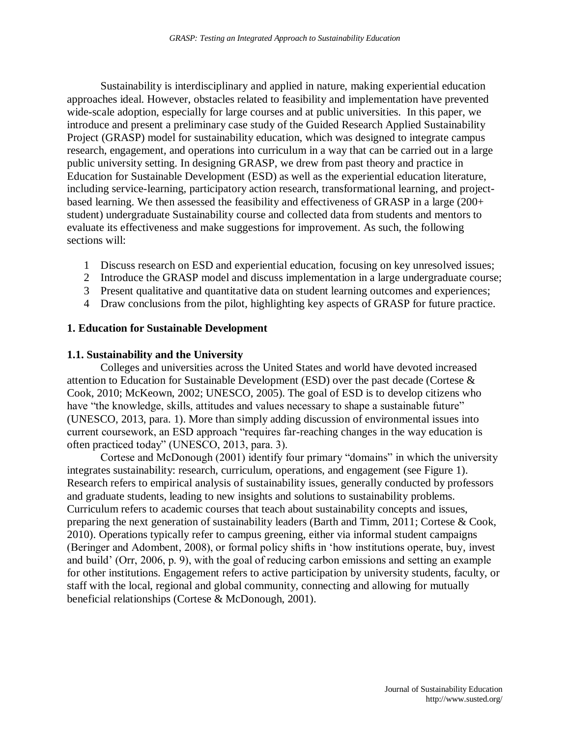Sustainability is interdisciplinary and applied in nature, making experiential education approaches ideal. However, obstacles related to feasibility and implementation have prevented wide-scale adoption, especially for large courses and at public universities. In this paper, we introduce and present a preliminary case study of the Guided Research Applied Sustainability Project (GRASP) model for sustainability education, which was designed to integrate campus research, engagement, and operations into curriculum in a way that can be carried out in a large public university setting. In designing GRASP, we drew from past theory and practice in Education for Sustainable Development (ESD) as well as the experiential education literature, including service-learning, participatory action research, transformational learning, and projectbased learning. We then assessed the feasibility and effectiveness of GRASP in a large (200+ student) undergraduate Sustainability course and collected data from students and mentors to evaluate its effectiveness and make suggestions for improvement. As such, the following sections will:

- 1 Discuss research on ESD and experiential education, focusing on key unresolved issues;
- 2 Introduce the GRASP model and discuss implementation in a large undergraduate course;
- 3 Present qualitative and quantitative data on student learning outcomes and experiences;
- 4 Draw conclusions from the pilot, highlighting key aspects of GRASP for future practice.

#### **1. Education for Sustainable Development**

#### **1.1. Sustainability and the University**

Colleges and universities across the United States and world have devoted increased attention to Education for Sustainable Development (ESD) over the past decade (Cortese & Cook, 2010; McKeown, 2002; UNESCO, 2005). The goal of ESD is to develop citizens who have "the knowledge, skills, attitudes and values necessary to shape a sustainable future" (UNESCO, 2013, para. 1). More than simply adding discussion of environmental issues into current coursework, an ESD approach "requires far-reaching changes in the way education is often practiced today" (UNESCO, 2013, para. 3).

Cortese and McDonough (2001) identify four primary "domains" in which the university integrates sustainability: research, curriculum, operations, and engagement (see Figure 1). Research refers to empirical analysis of sustainability issues, generally conducted by professors and graduate students, leading to new insights and solutions to sustainability problems. Curriculum refers to academic courses that teach about sustainability concepts and issues, preparing the next generation of sustainability leaders (Barth and Timm, 2011; Cortese & Cook, 2010). Operations typically refer to campus greening, either via informal student campaigns (Beringer and Adombent, 2008), or formal policy shifts in 'how institutions operate, buy, invest and build' (Orr, 2006, p. 9), with the goal of reducing carbon emissions and setting an example for other institutions. Engagement refers to active participation by university students, faculty, or staff with the local, regional and global community, connecting and allowing for mutually beneficial relationships (Cortese & McDonough, 2001).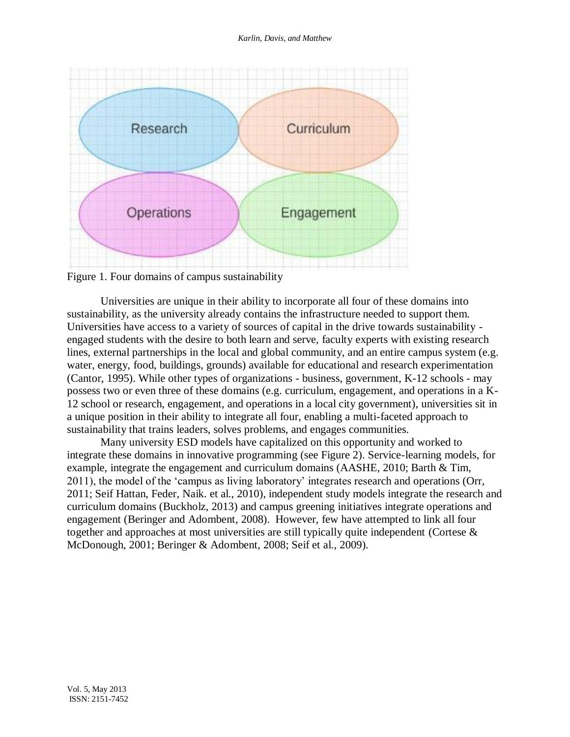

Figure 1. Four domains of campus sustainability

Universities are unique in their ability to incorporate all four of these domains into sustainability, as the university already contains the infrastructure needed to support them. Universities have access to a variety of sources of capital in the drive towards sustainability engaged students with the desire to both learn and serve, faculty experts with existing research lines, external partnerships in the local and global community, and an entire campus system (e.g. water, energy, food, buildings, grounds) available for educational and research experimentation (Cantor, 1995). While other types of organizations - business, government, K-12 schools - may possess two or even three of these domains (e.g. curriculum, engagement, and operations in a K-12 school or research, engagement, and operations in a local city government), universities sit in a unique position in their ability to integrate all four, enabling a multi-faceted approach to sustainability that trains leaders, solves problems, and engages communities.

Many university ESD models have capitalized on this opportunity and worked to integrate these domains in innovative programming (see Figure 2). Service-learning models, for example, integrate the engagement and curriculum domains (AASHE, 2010; Barth & Tim, 2011), the model of the 'campus as living laboratory' integrates research and operations (Orr, 2011; Seif Hattan, Feder, Naik. et al., 2010), independent study models integrate the research and curriculum domains [\(Buckholz,](http://www.aashe.org/users/5204) 2013) and campus greening initiatives integrate operations and engagement (Beringer and Adombent, 2008). However, few have attempted to link all four together and approaches at most universities are still typically quite independent (Cortese & McDonough, 2001; Beringer & Adombent, 2008; Seif et al., 2009).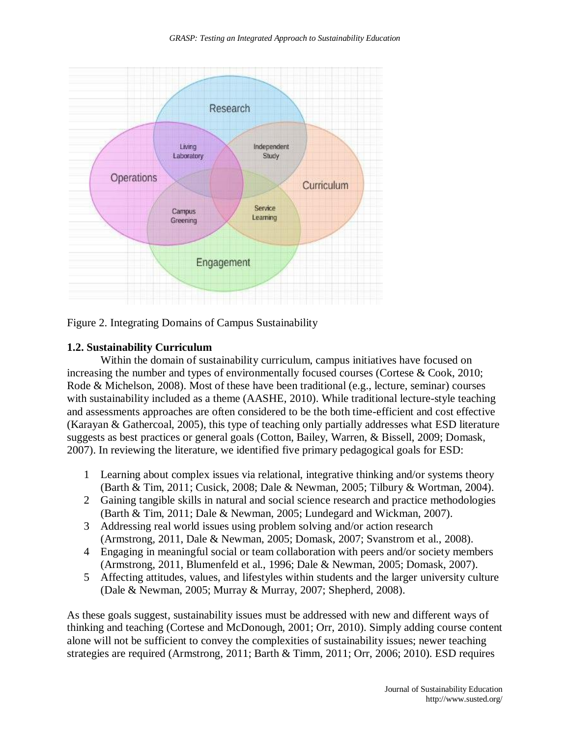

Figure 2. Integrating Domains of Campus Sustainability

## **1.2. Sustainability Curriculum**

Within the domain of sustainability curriculum, campus initiatives have focused on increasing the number and types of environmentally focused courses (Cortese & Cook, 2010; Rode & Michelson, 2008). Most of these have been traditional (e.g., lecture, seminar) courses with sustainability included as a theme (AASHE, 2010). While traditional lecture-style teaching and assessments approaches are often considered to be the both time-efficient and cost effective (Karayan & Gathercoal, 2005), this type of teaching only partially addresses what ESD literature suggests as best practices or general goals (Cotton, Bailey, Warren, & Bissell, 2009; Domask, 2007). In reviewing the literature, we identified five primary pedagogical goals for ESD:

- 1 Learning about complex issues via relational, integrative thinking and/or systems theory (Barth & Tim, 2011; Cusick, 2008; Dale & Newman, 2005; Tilbury & Wortman, 2004).
- 2 Gaining tangible skills in natural and social science research and practice methodologies (Barth & Tim, 2011; Dale & Newman, 2005; Lundegard and Wickman, 2007).
- 3 Addressing real world issues using problem solving and/or action research (Armstrong, 2011, Dale & Newman, 2005; Domask, 2007; Svanstrom et al., 2008).
- 4 Engaging in meaningful social or team collaboration with peers and/or society members (Armstrong, 2011, Blumenfeld et al., 1996; Dale & Newman, 2005; Domask, 2007).
- 5 Affecting attitudes, values, and lifestyles within students and the larger university culture (Dale & Newman, 2005; Murray & Murray, 2007; Shepherd, 2008).

As these goals suggest, sustainability issues must be addressed with new and different ways of thinking and teaching (Cortese and McDonough, 2001; Orr, 2010). Simply adding course content alone will not be sufficient to convey the complexities of sustainability issues; newer teaching strategies are required (Armstrong, 2011; Barth & Timm, 2011; Orr, 2006; 2010). ESD requires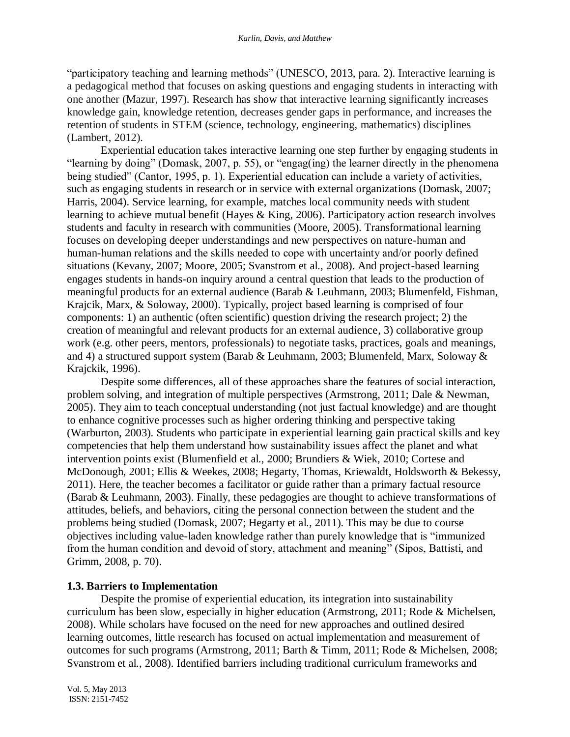"participatory teaching and learning methods" (UNESCO, 2013, para. 2). Interactive learning is a pedagogical method that focuses on asking questions and engaging students in interacting with one another (Mazur, 1997). Research has show that interactive learning significantly increases knowledge gain, knowledge retention, decreases gender gaps in performance, and increases the retention of students in STEM (science, technology, engineering, mathematics) disciplines (Lambert, 2012).

Experiential education takes interactive learning one step further by engaging students in "learning by doing" (Domask, 2007, p. 55), or "engag(ing) the learner directly in the phenomena being studied" (Cantor, 1995, p. 1). Experiential education can include a variety of activities, such as engaging students in research or in service with external organizations (Domask, 2007; Harris, 2004). Service learning, for example, matches local community needs with student learning to achieve mutual benefit (Hayes & King, 2006). Participatory action research involves students and faculty in research with communities (Moore, 2005). Transformational learning focuses on developing deeper understandings and new perspectives on nature-human and human-human relations and the skills needed to cope with uncertainty and/or poorly defined situations (Kevany, 2007; Moore, 2005; Svanstrom et al., 2008). And project-based learning engages students in hands-on inquiry around a central question that leads to the production of meaningful products for an external audience (Barab & Leuhmann, 2003; Blumenfeld, Fishman, Krajcik, Marx, & Soloway, 2000). Typically, project based learning is comprised of four components: 1) an authentic (often scientific) question driving the research project; 2) the creation of meaningful and relevant products for an external audience, 3) collaborative group work (e.g. other peers, mentors, professionals) to negotiate tasks, practices, goals and meanings, and 4) a structured support system (Barab & Leuhmann, 2003; Blumenfeld, Marx, Soloway & Krajckik, 1996).

Despite some differences, all of these approaches share the features of social interaction, problem solving, and integration of multiple perspectives (Armstrong, 2011; Dale & Newman, 2005). They aim to teach conceptual understanding (not just factual knowledge) and are thought to enhance cognitive processes such as higher ordering thinking and perspective taking (Warburton, 2003). Students who participate in experiential learning gain practical skills and key competencies that help them understand how sustainability issues affect the planet and what intervention points exist (Blumenfield et al., 2000; Brundiers & Wiek, 2010; Cortese and McDonough, 2001; Ellis & Weekes, 2008; Hegarty, Thomas, Kriewaldt, Holdsworth & Bekessy, 2011). Here, the teacher becomes a facilitator or guide rather than a primary factual resource (Barab & Leuhmann, 2003). Finally, these pedagogies are thought to achieve transformations of attitudes, beliefs, and behaviors, citing the personal connection between the student and the problems being studied (Domask, 2007; Hegarty et al., 2011). This may be due to course objectives including value-laden knowledge rather than purely knowledge that is "immunized from the human condition and devoid of story, attachment and meaning" (Sipos, Battisti, and Grimm, 2008, p. 70).

## **1.3. Barriers to Implementation**

Despite the promise of experiential education, its integration into sustainability curriculum has been slow, especially in higher education (Armstrong, 2011; Rode & Michelsen, 2008). While scholars have focused on the need for new approaches and outlined desired learning outcomes, little research has focused on actual implementation and measurement of outcomes for such programs (Armstrong, 2011; Barth & Timm, 2011; Rode & Michelsen, 2008; Svanstrom et al., 2008). Identified barriers including traditional curriculum frameworks and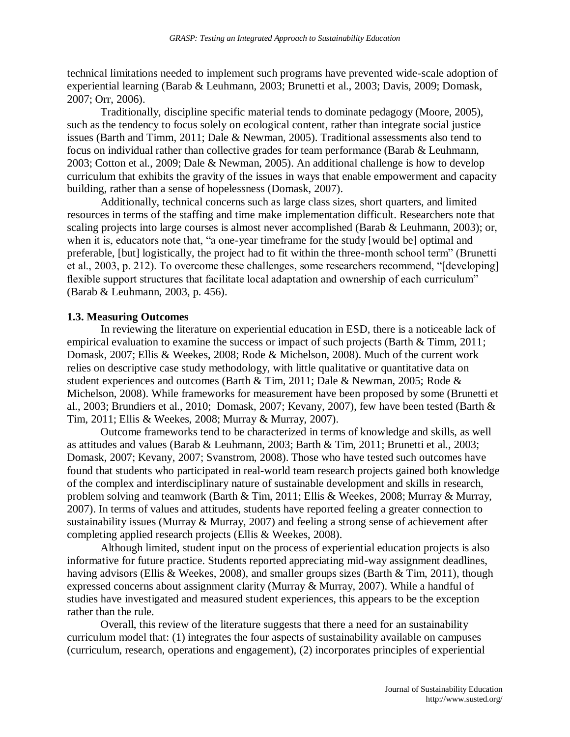technical limitations needed to implement such programs have prevented wide-scale adoption of experiential learning (Barab & Leuhmann, 2003; Brunetti et al., 2003; Davis, 2009; Domask, 2007; Orr, 2006).

Traditionally, discipline specific material tends to dominate pedagogy (Moore, 2005), such as the tendency to focus solely on ecological content, rather than integrate social justice issues (Barth and Timm, 2011; Dale & Newman, 2005). Traditional assessments also tend to focus on individual rather than collective grades for team performance (Barab & Leuhmann, 2003; Cotton et al., 2009; Dale & Newman, 2005). An additional challenge is how to develop curriculum that exhibits the gravity of the issues in ways that enable empowerment and capacity building, rather than a sense of hopelessness (Domask, 2007).

Additionally, technical concerns such as large class sizes, short quarters, and limited resources in terms of the staffing and time make implementation difficult. Researchers note that scaling projects into large courses is almost never accomplished (Barab & Leuhmann, 2003); or, when it is, educators note that, "a one-year timeframe for the study [would be] optimal and preferable, [but] logistically, the project had to fit within the three-month school term" (Brunetti et al., 2003, p. 212). To overcome these challenges, some researchers recommend, "[developing] flexible support structures that facilitate local adaptation and ownership of each curriculum" (Barab & Leuhmann, 2003, p. 456).

#### **1.3. Measuring Outcomes**

In reviewing the literature on experiential education in ESD, there is a noticeable lack of empirical evaluation to examine the success or impact of such projects (Barth & Timm, 2011; Domask, 2007; Ellis & Weekes, 2008; Rode & Michelson, 2008). Much of the current work relies on descriptive case study methodology, with little qualitative or quantitative data on student experiences and outcomes (Barth & Tim, 2011; Dale & Newman, 2005; Rode & Michelson, 2008). While frameworks for measurement have been proposed by some (Brunetti et al., 2003; Brundiers et al., 2010; Domask, 2007; Kevany, 2007), few have been tested (Barth & Tim, 2011; Ellis & Weekes, 2008; Murray & Murray, 2007).

Outcome frameworks tend to be characterized in terms of knowledge and skills, as well as attitudes and values (Barab & Leuhmann, 2003; Barth & Tim, 2011; Brunetti et al., 2003; Domask, 2007; Kevany, 2007; Svanstrom, 2008). Those who have tested such outcomes have found that students who participated in real-world team research projects gained both knowledge of the complex and interdisciplinary nature of sustainable development and skills in research, problem solving and teamwork (Barth & Tim, 2011; Ellis & Weekes, 2008; Murray & Murray, 2007). In terms of values and attitudes, students have reported feeling a greater connection to sustainability issues (Murray & Murray, 2007) and feeling a strong sense of achievement after completing applied research projects (Ellis & Weekes, 2008).

Although limited, student input on the process of experiential education projects is also informative for future practice. Students reported appreciating mid-way assignment deadlines, having advisors (Ellis & Weekes, 2008), and smaller groups sizes (Barth & Tim, 2011), though expressed concerns about assignment clarity (Murray  $\&$  Murray, 2007). While a handful of studies have investigated and measured student experiences, this appears to be the exception rather than the rule.

Overall, this review of the literature suggests that there a need for an sustainability curriculum model that: (1) integrates the four aspects of sustainability available on campuses (curriculum, research, operations and engagement), (2) incorporates principles of experiential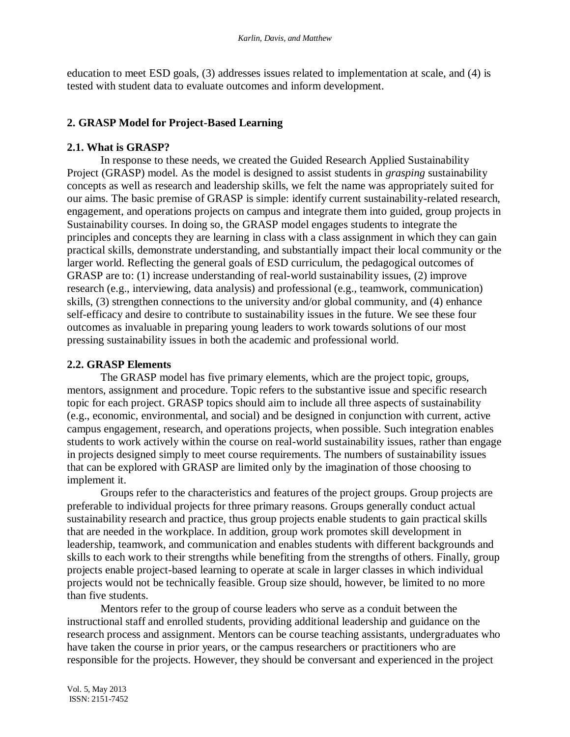education to meet ESD goals, (3) addresses issues related to implementation at scale, and (4) is tested with student data to evaluate outcomes and inform development.

# **2. GRASP Model for Project-Based Learning**

## **2.1. What is GRASP?**

In response to these needs, we created the Guided Research Applied Sustainability Project (GRASP) model. As the model is designed to assist students in *grasping* sustainability concepts as well as research and leadership skills, we felt the name was appropriately suited for our aims. The basic premise of GRASP is simple: identify current sustainability-related research, engagement, and operations projects on campus and integrate them into guided, group projects in Sustainability courses. In doing so, the GRASP model engages students to integrate the principles and concepts they are learning in class with a class assignment in which they can gain practical skills, demonstrate understanding, and substantially impact their local community or the larger world. Reflecting the general goals of ESD curriculum, the pedagogical outcomes of GRASP are to: (1) increase understanding of real-world sustainability issues, (2) improve research (e.g., interviewing, data analysis) and professional (e.g., teamwork, communication) skills, (3) strengthen connections to the university and/or global community, and (4) enhance self-efficacy and desire to contribute to sustainability issues in the future. We see these four outcomes as invaluable in preparing young leaders to work towards solutions of our most pressing sustainability issues in both the academic and professional world.

## **2.2. GRASP Elements**

The GRASP model has five primary elements, which are the project topic, groups, mentors, assignment and procedure. Topic refers to the substantive issue and specific research topic for each project. GRASP topics should aim to include all three aspects of sustainability (e.g., economic, environmental, and social) and be designed in conjunction with current, active campus engagement, research, and operations projects, when possible. Such integration enables students to work actively within the course on real-world sustainability issues, rather than engage in projects designed simply to meet course requirements. The numbers of sustainability issues that can be explored with GRASP are limited only by the imagination of those choosing to implement it.

Groups refer to the characteristics and features of the project groups. Group projects are preferable to individual projects for three primary reasons. Groups generally conduct actual sustainability research and practice, thus group projects enable students to gain practical skills that are needed in the workplace. In addition, group work promotes skill development in leadership, teamwork, and communication and enables students with different backgrounds and skills to each work to their strengths while benefiting from the strengths of others. Finally, group projects enable project-based learning to operate at scale in larger classes in which individual projects would not be technically feasible. Group size should, however, be limited to no more than five students.

Mentors refer to the group of course leaders who serve as a conduit between the instructional staff and enrolled students, providing additional leadership and guidance on the research process and assignment. Mentors can be course teaching assistants, undergraduates who have taken the course in prior years, or the campus researchers or practitioners who are responsible for the projects. However, they should be conversant and experienced in the project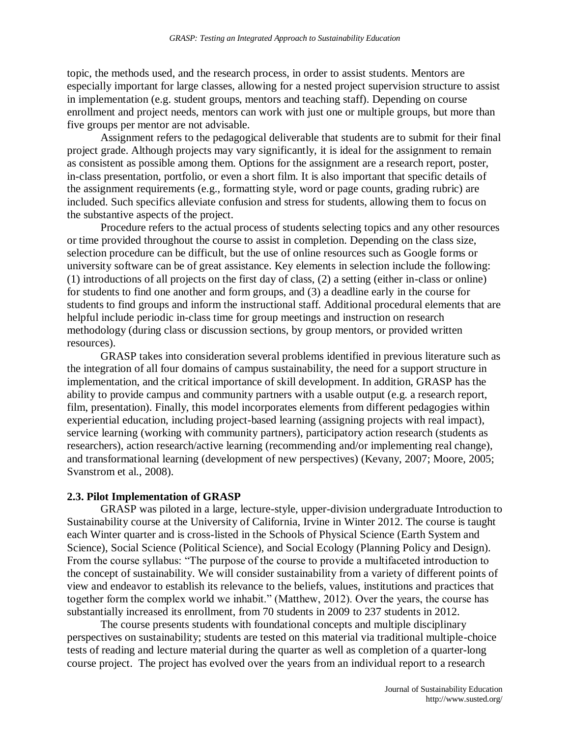topic, the methods used, and the research process, in order to assist students. Mentors are especially important for large classes, allowing for a nested project supervision structure to assist in implementation (e.g. student groups, mentors and teaching staff). Depending on course enrollment and project needs, mentors can work with just one or multiple groups, but more than five groups per mentor are not advisable.

Assignment refers to the pedagogical deliverable that students are to submit for their final project grade. Although projects may vary significantly, it is ideal for the assignment to remain as consistent as possible among them. Options for the assignment are a research report, poster, in-class presentation, portfolio, or even a short film. It is also important that specific details of the assignment requirements (e.g., formatting style, word or page counts, grading rubric) are included. Such specifics alleviate confusion and stress for students, allowing them to focus on the substantive aspects of the project.

Procedure refers to the actual process of students selecting topics and any other resources or time provided throughout the course to assist in completion. Depending on the class size, selection procedure can be difficult, but the use of online resources such as Google forms or university software can be of great assistance. Key elements in selection include the following: (1) introductions of all projects on the first day of class, (2) a setting (either in-class or online) for students to find one another and form groups, and (3) a deadline early in the course for students to find groups and inform the instructional staff. Additional procedural elements that are helpful include periodic in-class time for group meetings and instruction on research methodology (during class or discussion sections, by group mentors, or provided written resources).

GRASP takes into consideration several problems identified in previous literature such as the integration of all four domains of campus sustainability, the need for a support structure in implementation, and the critical importance of skill development. In addition, GRASP has the ability to provide campus and community partners with a usable output (e.g. a research report, film, presentation). Finally, this model incorporates elements from different pedagogies within experiential education, including project-based learning (assigning projects with real impact), service learning (working with community partners), participatory action research (students as researchers), action research/active learning (recommending and/or implementing real change), and transformational learning (development of new perspectives) (Kevany, 2007; Moore, 2005; Svanstrom et al., 2008).

#### **2.3. Pilot Implementation of GRASP**

GRASP was piloted in a large, lecture-style, upper-division undergraduate Introduction to Sustainability course at the University of California, Irvine in Winter 2012. The course is taught each Winter quarter and is cross-listed in the Schools of Physical Science (Earth System and Science), Social Science (Political Science), and Social Ecology (Planning Policy and Design). From the course syllabus: "The purpose of the course to provide a multifaceted introduction to the concept of sustainability. We will consider sustainability from a variety of different points of view and endeavor to establish its relevance to the beliefs, values, institutions and practices that together form the complex world we inhabit." (Matthew, 2012). Over the years, the course has substantially increased its enrollment, from 70 students in 2009 to 237 students in 2012.

The course presents students with foundational concepts and multiple disciplinary perspectives on sustainability; students are tested on this material via traditional multiple-choice tests of reading and lecture material during the quarter as well as completion of a quarter-long course project. The project has evolved over the years from an individual report to a research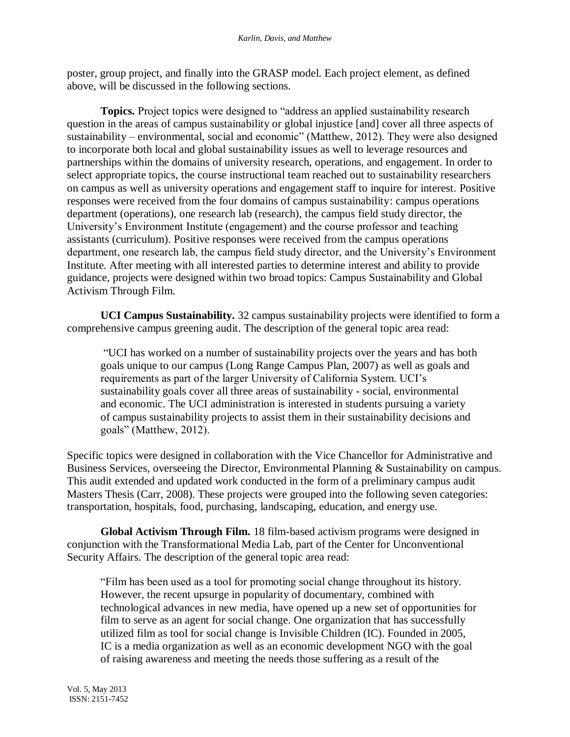poster, group project, and finally into the GRASP model. Each project element, as defined above, will be discussed in the following sections.

**Topics.** Project topics were designed to "address an applied sustainability research question in the areas of campus sustainability or global injustice [and] cover all three aspects of sustainability – environmental, social and economic" (Matthew, 2012). They were also designed to incorporate both local and global sustainability issues as well to leverage resources and partnerships within the domains of university research, operations, and engagement. In order to select appropriate topics, the course instructional team reached out to sustainability researchers on campus as well as university operations and engagement staff to inquire for interest. Positive responses were received from the four domains of campus sustainability: campus operations department (operations), one research lab (research), the campus field study director, the University's Environment Institute (engagement) and the course professor and teaching assistants (curriculum). Positive responses were received from the campus operations department, one research lab, the campus field study director, and the University's Environment Institute. After meeting with all interested parties to determine interest and ability to provide guidance, projects were designed within two broad topics: Campus Sustainability and Global Activism Through Film.

**UCI Campus Sustainability.** 32 campus sustainability projects were identified to form a comprehensive campus greening audit. The description of the general topic area read:

"UCI has worked on a number of sustainability projects over the years and has both goals unique to our campus (Long Range Campus Plan, 2007) as well as goals and requirements as part of the larger University of California System. UCI's sustainability goals cover all three areas of sustainability - social, environmental and economic. The UCI administration is interested in students pursuing a variety of campus sustainability projects to assist them in their sustainability decisions and goals" (Matthew, 2012).

Specific topics were designed in collaboration with the Vice Chancellor for Administrative and Business Services, overseeing the Director, Environmental Planning & Sustainability on campus. This audit extended and updated work conducted in the form of a preliminary campus audit Masters Thesis (Carr, 2008). These projects were grouped into the following seven categories: transportation, hospitals, food, purchasing, landscaping, education, and energy use.

**Global Activism Through Film.** 18 film-based activism programs were designed in conjunction with the Transformational Media Lab, part of the Center for Unconventional Security Affairs. The description of the general topic area read:

"Film has been used as a tool for promoting social change throughout its history. However, the recent upsurge in popularity of documentary, combined with technological advances in new media, have opened up a new set of opportunities for film to serve as an agent for social change. One organization that has successfully utilized film as tool for social change is Invisible Children (IC). Founded in 2005, IC is a media organization as well as an economic development NGO with the goal of raising awareness and meeting the needs those suffering as a result of the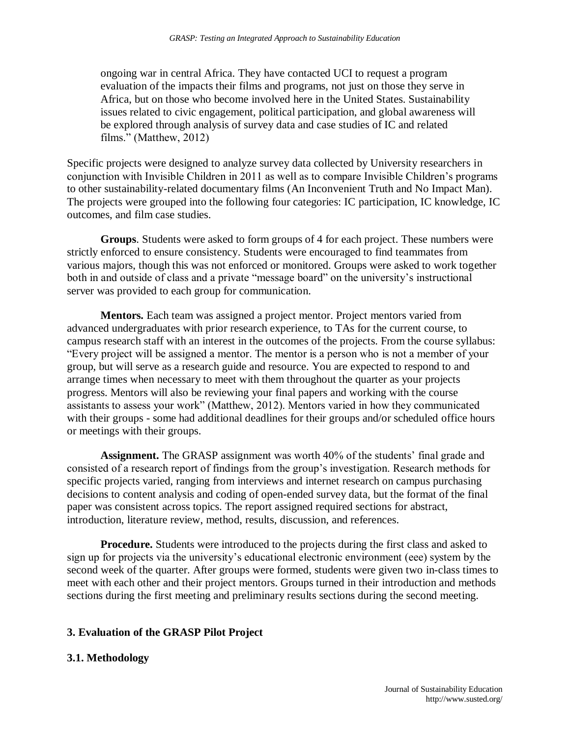ongoing war in central Africa. They have contacted UCI to request a program evaluation of the impacts their films and programs, not just on those they serve in Africa, but on those who become involved here in the United States. Sustainability issues related to civic engagement, political participation, and global awareness will be explored through analysis of survey data and case studies of IC and related films." (Matthew, 2012)

Specific projects were designed to analyze survey data collected by University researchers in conjunction with Invisible Children in 2011 as well as to compare Invisible Children's programs to other sustainability-related documentary films (An Inconvenient Truth and No Impact Man). The projects were grouped into the following four categories: IC participation, IC knowledge, IC outcomes, and film case studies.

**Groups**. Students were asked to form groups of 4 for each project. These numbers were strictly enforced to ensure consistency. Students were encouraged to find teammates from various majors, though this was not enforced or monitored. Groups were asked to work together both in and outside of class and a private "message board" on the university's instructional server was provided to each group for communication.

**Mentors.** Each team was assigned a project mentor. Project mentors varied from advanced undergraduates with prior research experience, to TAs for the current course, to campus research staff with an interest in the outcomes of the projects. From the course syllabus: "Every project will be assigned a mentor. The mentor is a person who is not a member of your group, but will serve as a research guide and resource. You are expected to respond to and arrange times when necessary to meet with them throughout the quarter as your projects progress. Mentors will also be reviewing your final papers and working with the course assistants to assess your work" (Matthew, 2012). Mentors varied in how they communicated with their groups - some had additional deadlines for their groups and/or scheduled office hours or meetings with their groups.

**Assignment.** The GRASP assignment was worth 40% of the students' final grade and consisted of a research report of findings from the group's investigation. Research methods for specific projects varied, ranging from interviews and internet research on campus purchasing decisions to content analysis and coding of open-ended survey data, but the format of the final paper was consistent across topics. The report assigned required sections for abstract, introduction, literature review, method, results, discussion, and references.

**Procedure.** Students were introduced to the projects during the first class and asked to sign up for projects via the university's educational electronic environment (eee) system by the second week of the quarter. After groups were formed, students were given two in-class times to meet with each other and their project mentors. Groups turned in their introduction and methods sections during the first meeting and preliminary results sections during the second meeting.

# **3. Evaluation of the GRASP Pilot Project**

## **3.1. Methodology**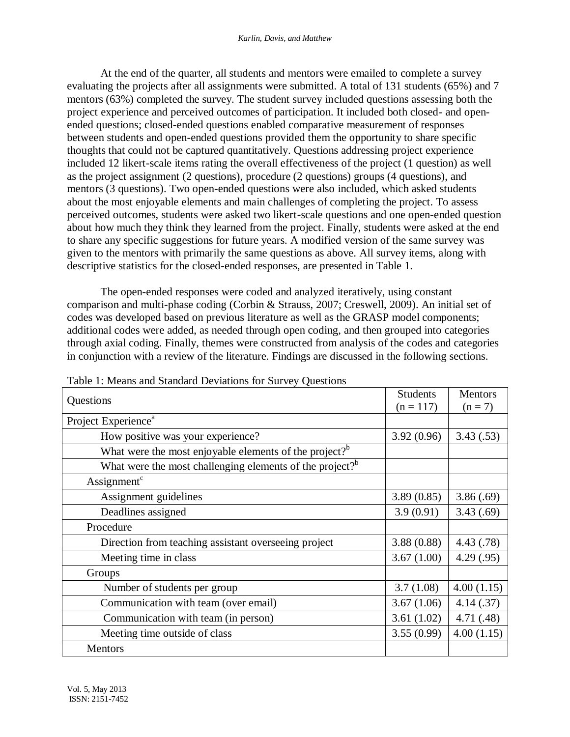At the end of the quarter, all students and mentors were emailed to complete a survey evaluating the projects after all assignments were submitted. A total of 131 students (65%) and 7 mentors (63%) completed the survey. The student survey included questions assessing both the project experience and perceived outcomes of participation. It included both closed- and openended questions; closed-ended questions enabled comparative measurement of responses between students and open-ended questions provided them the opportunity to share specific thoughts that could not be captured quantitatively. Questions addressing project experience included 12 likert-scale items rating the overall effectiveness of the project (1 question) as well as the project assignment (2 questions), procedure (2 questions) groups (4 questions), and mentors (3 questions). Two open-ended questions were also included, which asked students about the most enjoyable elements and main challenges of completing the project. To assess perceived outcomes, students were asked two likert-scale questions and one open-ended question about how much they think they learned from the project. Finally, students were asked at the end to share any specific suggestions for future years. A modified version of the same survey was given to the mentors with primarily the same questions as above. All survey items, along with descriptive statistics for the closed-ended responses, are presented in Table 1.

The open-ended responses were coded and analyzed iteratively, using constant comparison and multi-phase coding (Corbin & Strauss, 2007; Creswell, 2009). An initial set of codes was developed based on previous literature as well as the GRASP model components; additional codes were added, as needed through open coding, and then grouped into categories through axial coding. Finally, themes were constructed from analysis of the codes and categories in conjunction with a review of the literature. Findings are discussed in the following sections.

| I able 1. Means and Standard Deviations for Survey Questions         |                 |            |
|----------------------------------------------------------------------|-----------------|------------|
| Questions                                                            | <b>Students</b> | Mentors    |
|                                                                      | $(n = 117)$     | $(n = 7)$  |
| Project Experience <sup>a</sup>                                      |                 |            |
| How positive was your experience?                                    | 3.92(0.96)      | 3.43(.53)  |
| What were the most enjoyable elements of the project? <sup>b</sup>   |                 |            |
| What were the most challenging elements of the project? <sup>b</sup> |                 |            |
| Assignment <sup>c</sup>                                              |                 |            |
| Assignment guidelines                                                | 3.89(0.85)      | 3.86(.69)  |
| Deadlines assigned                                                   | 3.9(0.91)       | 3.43(.69)  |
| Procedure                                                            |                 |            |
| Direction from teaching assistant overseeing project                 | 3.88(0.88)      | 4.43 (.78) |
| Meeting time in class                                                | 3.67(1.00)      | 4.29(.95)  |
| Groups                                                               |                 |            |
| Number of students per group                                         | 3.7(1.08)       | 4.00(1.15) |
| Communication with team (over email)                                 | 3.67(1.06)      | 4.14(.37)  |
| Communication with team (in person)                                  | 3.61(1.02)      | 4.71(.48)  |
| Meeting time outside of class                                        | 3.55(0.99)      | 4.00(1.15) |
| <b>Mentors</b>                                                       |                 |            |

Table 1: Means and Standard Deviations for Survey Questions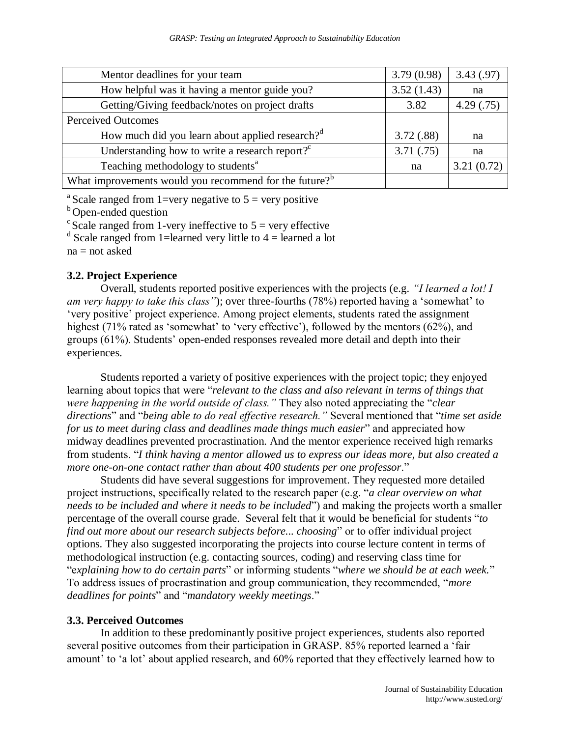| Mentor deadlines for your team                                     | 3.79(0.98) | 3.43(.97)  |
|--------------------------------------------------------------------|------------|------------|
| How helpful was it having a mentor guide you?                      | 3.52(1.43) | na         |
| Getting/Giving feedback/notes on project drafts                    | 3.82       | 4.29(.75)  |
| <b>Perceived Outcomes</b>                                          |            |            |
| How much did you learn about applied research? <sup>d</sup>        | 3.72(.88)  | na         |
| Understanding how to write a research report? $C^c$                | 3.71(.75)  | na         |
| Teaching methodology to students <sup>a</sup>                      | na         | 3.21(0.72) |
| What improvements would you recommend for the future? <sup>b</sup> |            |            |

<sup>a</sup> Scale ranged from 1=very negative to  $5$  = very positive

<sup>b</sup>Open-ended question

 $\epsilon$ Scale ranged from 1-very ineffective to  $5$  = very effective

 $d$  Scale ranged from 1=learned very little to 4 = learned a lot

 $na = not asked$ 

## **3.2. Project Experience**

Overall, students reported positive experiences with the projects (e.g. *"I learned a lot! I am very happy to take this class"*); over three-fourths (78%) reported having a 'somewhat' to 'very positive' project experience. Among project elements, students rated the assignment highest (71% rated as 'somewhat' to 'very effective'), followed by the mentors (62%), and groups (61%). Students' open-ended responses revealed more detail and depth into their experiences.

Students reported a variety of positive experiences with the project topic; they enjoyed learning about topics that were "*relevant to the class and also relevant in terms of things that were happening in the world outside of class."* They also noted appreciating the "*clear directions*" and "*being able to do real effective research."* Several mentioned that "*time set aside for us to meet during class and deadlines made things much easier*" and appreciated how midway deadlines prevented procrastination. And the mentor experience received high remarks from students. "*I think having a mentor allowed us to express our ideas more, but also created a more one-on-one contact rather than about 400 students per one professor*."

Students did have several suggestions for improvement. They requested more detailed project instructions, specifically related to the research paper (e.g. "*a clear overview on what needs to be included and where it needs to be included*") and making the projects worth a smaller percentage of the overall course grade. Several felt that it would be beneficial for students "*to find out more about our research subjects before... choosing*" or to offer individual project options. They also suggested incorporating the projects into course lecture content in terms of methodological instruction (e.g. contacting sources, coding) and reserving class time for "e*xplaining how to do certain parts*" or informing students "*where we should be at each week.*" To address issues of procrastination and group communication, they recommended, "*more deadlines for points*" and "*mandatory weekly meetings*."

## **3.3. Perceived Outcomes**

In addition to these predominantly positive project experiences, students also reported several positive outcomes from their participation in GRASP. 85% reported learned a 'fair amount' to 'a lot' about applied research, and 60% reported that they effectively learned how to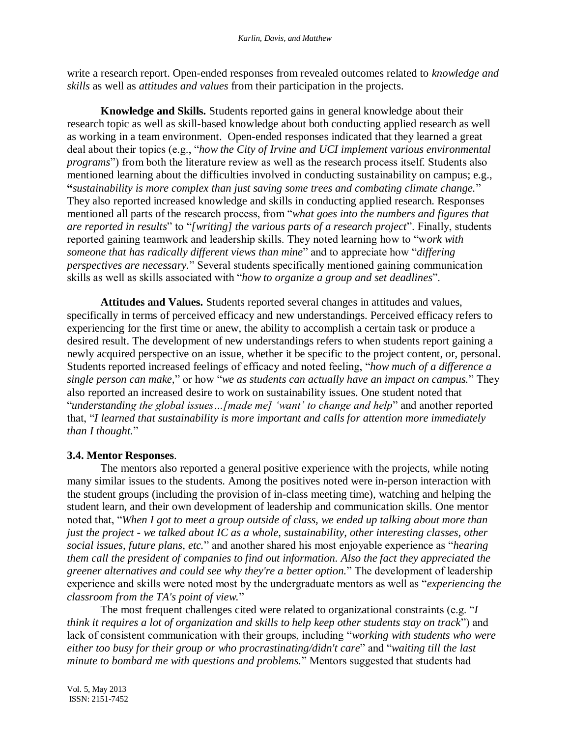write a research report. Open-ended responses from revealed outcomes related to *knowledge and skills* as well as *attitudes and values* from their participation in the projects.

**Knowledge and Skills.** Students reported gains in general knowledge about their research topic as well as skill-based knowledge about both conducting applied research as well as working in a team environment. Open-ended responses indicated that they learned a great deal about their topics (e.g., "*how the City of Irvine and UCI implement various environmental programs*") from both the literature review as well as the research process itself. Students also mentioned learning about the difficulties involved in conducting sustainability on campus; e.g., **"***sustainability is more complex than just saving some trees and combating climate change.*" They also reported increased knowledge and skills in conducting applied research. Responses mentioned all parts of the research process, from "*what goes into the numbers and figures that are reported in results*" to "*[writing] the various parts of a research project*". Finally, students reported gaining teamwork and leadership skills. They noted learning how to "w*ork with someone that has radically different views than mine*" and to appreciate how "*differing perspectives are necessary.*" Several students specifically mentioned gaining communication skills as well as skills associated with "*how to organize a group and set deadlines*".

**Attitudes and Values.** Students reported several changes in attitudes and values, specifically in terms of perceived efficacy and new understandings. Perceived efficacy refers to experiencing for the first time or anew, the ability to accomplish a certain task or produce a desired result. The development of new understandings refers to when students report gaining a newly acquired perspective on an issue, whether it be specific to the project content, or, personal. Students reported increased feelings of efficacy and noted feeling, "*how much of a difference a single person can make,*" or how "*we as students can actually have an impact on campus.*" They also reported an increased desire to work on sustainability issues. One student noted that "*understanding the global issues…[made me] 'want' to change and help*" and another reported that, "*I learned that sustainability is more important and calls for attention more immediately than I thought.*"

# **3.4. Mentor Responses**.

The mentors also reported a general positive experience with the projects, while noting many similar issues to the students. Among the positives noted were in-person interaction with the student groups (including the provision of in-class meeting time), watching and helping the student learn, and their own development of leadership and communication skills. One mentor noted that, "*When I got to meet a group outside of class, we ended up talking about more than just the project - we talked about IC as a whole, sustainability, other interesting classes, other social issues, future plans, etc.*" and another shared his most enjoyable experience as "*hearing them call the president of companies to find out information. Also the fact they appreciated the greener alternatives and could see why they're a better option.*" The development of leadership experience and skills were noted most by the undergraduate mentors as well as "*experiencing the classroom from the TA's point of view.*"

The most frequent challenges cited were related to organizational constraints (e.g. "*I think it requires a lot of organization and skills to help keep other students stay on track*") and lack of consistent communication with their groups, including "*working with students who were either too busy for their group or who procrastinating/didn't care*" and "*waiting till the last minute to bombard me with questions and problems.*" Mentors suggested that students had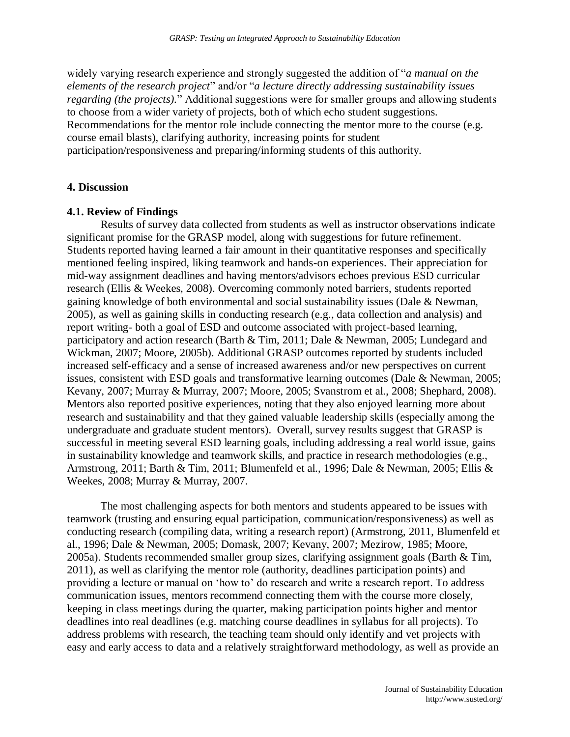widely varying research experience and strongly suggested the addition of "*a manual on the elements of the research project*" and/or "*a lecture directly addressing sustainability issues regarding (the projects).*" Additional suggestions were for smaller groups and allowing students to choose from a wider variety of projects, both of which echo student suggestions. Recommendations for the mentor role include connecting the mentor more to the course (e.g. course email blasts), clarifying authority, increasing points for student participation/responsiveness and preparing/informing students of this authority.

#### **4. Discussion**

#### **4.1. Review of Findings**

Results of survey data collected from students as well as instructor observations indicate significant promise for the GRASP model, along with suggestions for future refinement. Students reported having learned a fair amount in their quantitative responses and specifically mentioned feeling inspired, liking teamwork and hands-on experiences. Their appreciation for mid-way assignment deadlines and having mentors/advisors echoes previous ESD curricular research (Ellis & Weekes, 2008). Overcoming commonly noted barriers, students reported gaining knowledge of both environmental and social sustainability issues (Dale & Newman, 2005), as well as gaining skills in conducting research (e.g., data collection and analysis) and report writing- both a goal of ESD and outcome associated with project-based learning, participatory and action research (Barth & Tim, 2011; Dale & Newman, 2005; Lundegard and Wickman, 2007; Moore, 2005b). Additional GRASP outcomes reported by students included increased self-efficacy and a sense of increased awareness and/or new perspectives on current issues, consistent with ESD goals and transformative learning outcomes (Dale & Newman, 2005; Kevany, 2007; Murray & Murray, 2007; Moore, 2005; Svanstrom et al., 2008; Shephard, 2008). Mentors also reported positive experiences, noting that they also enjoyed learning more about research and sustainability and that they gained valuable leadership skills (especially among the undergraduate and graduate student mentors). Overall, survey results suggest that GRASP is successful in meeting several ESD learning goals, including addressing a real world issue, gains in sustainability knowledge and teamwork skills, and practice in research methodologies (e.g., Armstrong, 2011; Barth & Tim, 2011; Blumenfeld et al., 1996; Dale & Newman, 2005; Ellis & Weekes, 2008; Murray & Murray, 2007.

The most challenging aspects for both mentors and students appeared to be issues with teamwork (trusting and ensuring equal participation, communication/responsiveness) as well as conducting research (compiling data, writing a research report) (Armstrong, 2011, Blumenfeld et al., 1996; Dale & Newman, 2005; Domask, 2007; Kevany, 2007; Mezirow, 1985; Moore, 2005a). Students recommended smaller group sizes, clarifying assignment goals (Barth & Tim, 2011), as well as clarifying the mentor role (authority, deadlines participation points) and providing a lecture or manual on 'how to' do research and write a research report. To address communication issues, mentors recommend connecting them with the course more closely, keeping in class meetings during the quarter, making participation points higher and mentor deadlines into real deadlines (e.g. matching course deadlines in syllabus for all projects). To address problems with research, the teaching team should only identify and vet projects with easy and early access to data and a relatively straightforward methodology, as well as provide an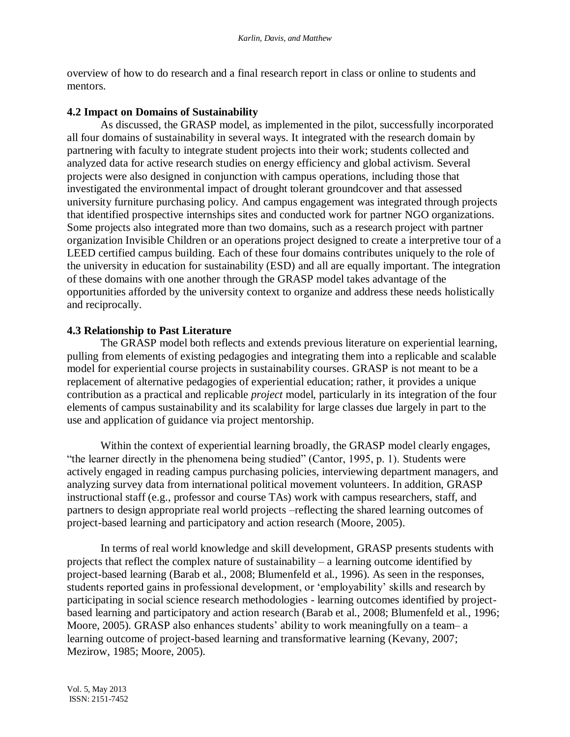overview of how to do research and a final research report in class or online to students and mentors.

## **4.2 Impact on Domains of Sustainability**

As discussed, the GRASP model, as implemented in the pilot, successfully incorporated all four domains of sustainability in several ways. It integrated with the research domain by partnering with faculty to integrate student projects into their work; students collected and analyzed data for active research studies on energy efficiency and global activism. Several projects were also designed in conjunction with campus operations, including those that investigated the environmental impact of drought tolerant groundcover and that assessed university furniture purchasing policy. And campus engagement was integrated through projects that identified prospective internships sites and conducted work for partner NGO organizations. Some projects also integrated more than two domains, such as a research project with partner organization Invisible Children or an operations project designed to create a interpretive tour of a LEED certified campus building. Each of these four domains contributes uniquely to the role of the university in education for sustainability (ESD) and all are equally important. The integration of these domains with one another through the GRASP model takes advantage of the opportunities afforded by the university context to organize and address these needs holistically and reciprocally.

## **4.3 Relationship to Past Literature**

The GRASP model both reflects and extends previous literature on experiential learning, pulling from elements of existing pedagogies and integrating them into a replicable and scalable model for experiential course projects in sustainability courses. GRASP is not meant to be a replacement of alternative pedagogies of experiential education; rather, it provides a unique contribution as a practical and replicable *project* model, particularly in its integration of the four elements of campus sustainability and its scalability for large classes due largely in part to the use and application of guidance via project mentorship.

Within the context of experiential learning broadly, the GRASP model clearly engages, "the learner directly in the phenomena being studied" (Cantor, 1995, p. 1). Students were actively engaged in reading campus purchasing policies, interviewing department managers, and analyzing survey data from international political movement volunteers. In addition, GRASP instructional staff (e.g., professor and course TAs) work with campus researchers, staff, and partners to design appropriate real world projects –reflecting the shared learning outcomes of project-based learning and participatory and action research (Moore, 2005).

In terms of real world knowledge and skill development, GRASP presents students with projects that reflect the complex nature of sustainability – a learning outcome identified by project-based learning (Barab et al., 2008; Blumenfeld et al., 1996). As seen in the responses, students reported gains in professional development, or 'employability' skills and research by participating in social science research methodologies - learning outcomes identified by projectbased learning and participatory and action research (Barab et al., 2008; Blumenfeld et al., 1996; Moore, 2005). GRASP also enhances students' ability to work meaningfully on a team– a learning outcome of project-based learning and transformative learning (Kevany, 2007; Mezirow, 1985; Moore, 2005).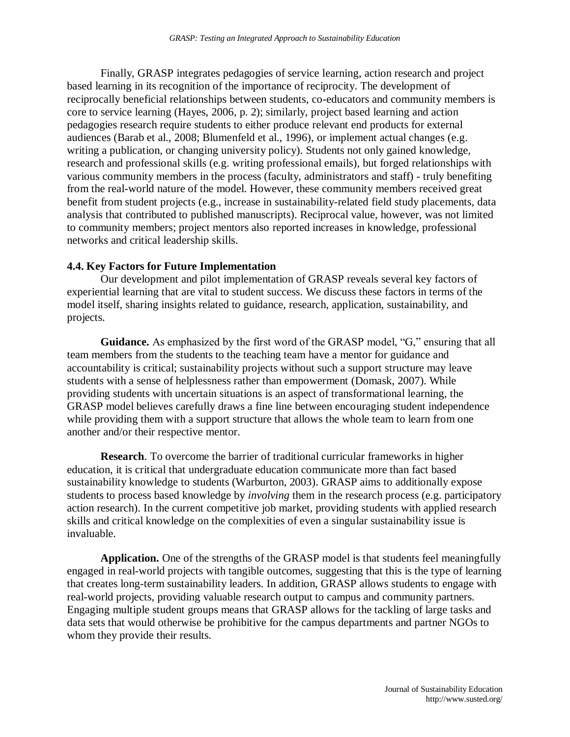Finally, GRASP integrates pedagogies of service learning, action research and project based learning in its recognition of the importance of reciprocity. The development of reciprocally beneficial relationships between students, co-educators and community members is core to service learning (Hayes, 2006, p. 2); similarly, project based learning and action pedagogies research require students to either produce relevant end products for external audiences (Barab et al., 2008; Blumenfeld et al., 1996), or implement actual changes (e.g. writing a publication, or changing university policy). Students not only gained knowledge, research and professional skills (e.g. writing professional emails), but forged relationships with various community members in the process (faculty, administrators and staff) - truly benefiting from the real-world nature of the model. However, these community members received great benefit from student projects (e.g., increase in sustainability-related field study placements, data analysis that contributed to published manuscripts). Reciprocal value, however, was not limited to community members; project mentors also reported increases in knowledge, professional networks and critical leadership skills.

#### **4.4. Key Factors for Future Implementation**

Our development and pilot implementation of GRASP reveals several key factors of experiential learning that are vital to student success. We discuss these factors in terms of the model itself, sharing insights related to guidance, research, application, sustainability, and projects.

**Guidance.** As emphasized by the first word of the GRASP model, "G," ensuring that all team members from the students to the teaching team have a mentor for guidance and accountability is critical; sustainability projects without such a support structure may leave students with a sense of helplessness rather than empowerment (Domask, 2007). While providing students with uncertain situations is an aspect of transformational learning, the GRASP model believes carefully draws a fine line between encouraging student independence while providing them with a support structure that allows the whole team to learn from one another and/or their respective mentor.

**Research**. To overcome the barrier of traditional curricular frameworks in higher education, it is critical that undergraduate education communicate more than fact based sustainability knowledge to students (Warburton, 2003). GRASP aims to additionally expose students to process based knowledge by *involving* them in the research process (e.g. participatory action research). In the current competitive job market, providing students with applied research skills and critical knowledge on the complexities of even a singular sustainability issue is invaluable.

**Application.** One of the strengths of the GRASP model is that students feel meaningfully engaged in real-world projects with tangible outcomes, suggesting that this is the type of learning that creates long-term sustainability leaders. In addition, GRASP allows students to engage with real-world projects, providing valuable research output to campus and community partners. Engaging multiple student groups means that GRASP allows for the tackling of large tasks and data sets that would otherwise be prohibitive for the campus departments and partner NGOs to whom they provide their results.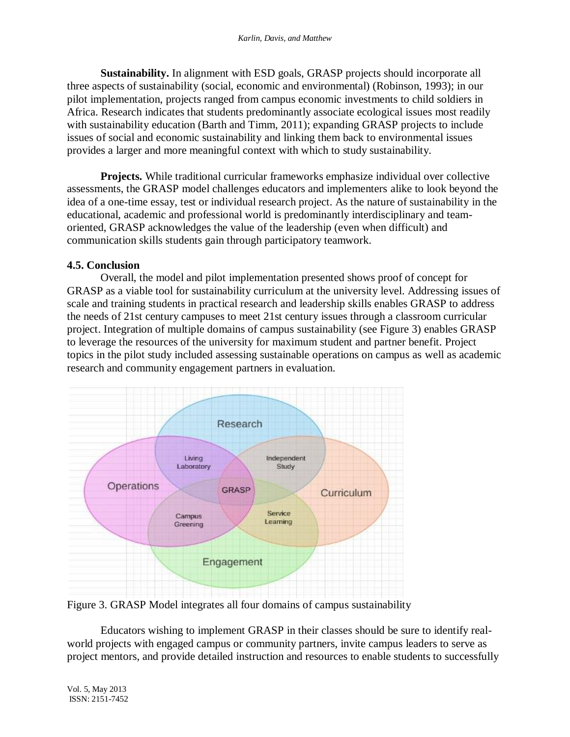**Sustainability.** In alignment with ESD goals, GRASP projects should incorporate all three aspects of sustainability (social, economic and environmental) (Robinson, 1993); in our pilot implementation, projects ranged from campus economic investments to child soldiers in Africa. Research indicates that students predominantly associate ecological issues most readily with sustainability education (Barth and Timm, 2011); expanding GRASP projects to include issues of social and economic sustainability and linking them back to environmental issues provides a larger and more meaningful context with which to study sustainability.

**Projects.** While traditional curricular frameworks emphasize individual over collective assessments, the GRASP model challenges educators and implementers alike to look beyond the idea of a one-time essay, test or individual research project. As the nature of sustainability in the educational, academic and professional world is predominantly interdisciplinary and teamoriented, GRASP acknowledges the value of the leadership (even when difficult) and communication skills students gain through participatory teamwork.

#### **4.5. Conclusion**

Overall, the model and pilot implementation presented shows proof of concept for GRASP as a viable tool for sustainability curriculum at the university level. Addressing issues of scale and training students in practical research and leadership skills enables GRASP to address the needs of 21st century campuses to meet 21st century issues through a classroom curricular project. Integration of multiple domains of campus sustainability (see Figure 3) enables GRASP to leverage the resources of the university for maximum student and partner benefit. Project topics in the pilot study included assessing sustainable operations on campus as well as academic research and community engagement partners in evaluation.



Figure 3. GRASP Model integrates all four domains of campus sustainability

Educators wishing to implement GRASP in their classes should be sure to identify realworld projects with engaged campus or community partners, invite campus leaders to serve as project mentors, and provide detailed instruction and resources to enable students to successfully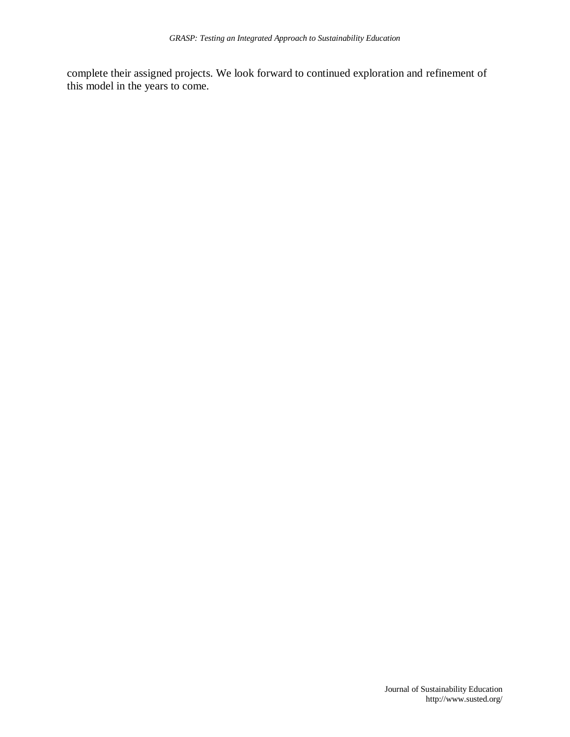complete their assigned projects. We look forward to continued exploration and refinement of this model in the years to come.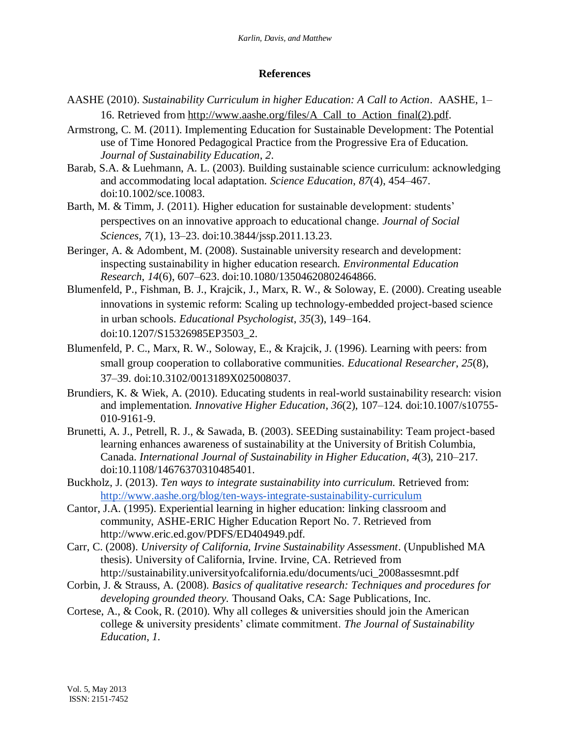# **References**

- AASHE (2010). *Sustainability Curriculum in higher Education: A Call to Action*. AASHE, 1– 16. Retrieved from [http://www.aashe.org/files/A\\_Call\\_to\\_Action\\_final\(2\).pdf.](http://www.aashe.org/files/A_Call_to_Action_final(2).pdf)
- Armstrong, C. M. (2011). Implementing Education for Sustainable Development: The Potential use of Time Honored Pedagogical Practice from the Progressive Era of Education. *Journal of Sustainability Education*, *2*.
- Barab, S.A. & Luehmann, A. L. (2003). Building sustainable science curriculum: acknowledging and accommodating local adaptation. *Science Education*, *87*(4), 454–467. doi:10.1002/sce.10083.
- Barth, M. & Timm, J. (2011). Higher education for sustainable development: students' perspectives on an innovative approach to educational change. *Journal of Social Sciences*, *7*(1), 13–23. doi:10.3844/jssp.2011.13.23.
- Beringer, A. & Adombent, M. (2008). Sustainable university research and development: inspecting sustainability in higher education research. *Environmental Education Research*, *14*(6), 607–623. doi:10.1080/13504620802464866.
- Blumenfeld, P., Fishman, B. J., Krajcik, J., Marx, R. W., & Soloway, E. (2000). Creating useable innovations in systemic reform: Scaling up technology-embedded project-based science in urban schools. *Educational Psychologist*, *35*(3), 149–164. doi:10.1207/S15326985EP3503\_2.
- Blumenfeld, P. C., Marx, R. W., Soloway, E., & Krajcik, J. (1996). Learning with peers: from small group cooperation to collaborative communities. *Educational Researcher*, *25*(8), 37–39. doi:10.3102/0013189X025008037.
- Brundiers, K. & Wiek, A. (2010). Educating students in real-world sustainability research: vision and implementation. *Innovative Higher Education*, *36*(2), 107–124. doi:10.1007/s10755- 010-9161-9.
- Brunetti, A. J., Petrell, R. J., & Sawada, B. (2003). SEEDing sustainability: Team project-based learning enhances awareness of sustainability at the University of British Columbia, Canada. *International Journal of Sustainability in Higher Education*, *4*(3), 210–217. doi:10.1108/14676370310485401.
- [Buckholz,](http://www.aashe.org/users/5204) J. (2013). *Ten ways to integrate sustainability into curriculum.* Retrieved from: <http://www.aashe.org/blog/ten-ways-integrate-sustainability-curriculum>
- Cantor, J.A. (1995). Experiential learning in higher education: linking classroom and community, ASHE-ERIC Higher Education Report No. 7. Retrieved from http://www.eric.ed.gov/PDFS/ED404949.pdf.
- Carr, C. (2008). *University of California, Irvine Sustainability Assessment*. (Unpublished MA thesis). University of California, Irvine. Irvine, CA. Retrieved from [http://sustainability.universityofcalifornia.edu/documents/uci\\_2008assesmnt.pdf](http://sustainability.universityofcalifornia.edu/documents/uci_2008assesmnt.pdf)
- Corbin, J. & Strauss, A. (2008). *Basics of qualitative research: Techniques and procedures for developing grounded theory.* Thousand Oaks, CA: Sage Publications, Inc.
- Cortese, A., & Cook, R. (2010). Why all colleges & universities should join the American college & university presidents' climate commitment. *The Journal of Sustainability Education*, *1.*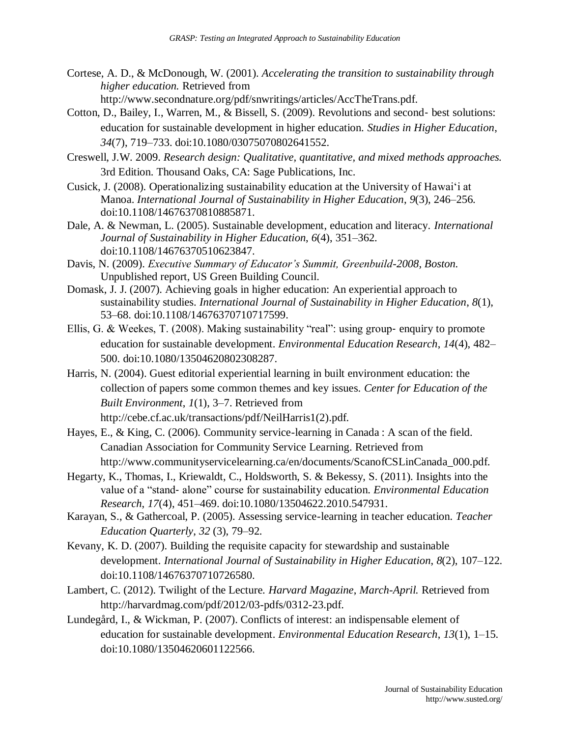- Cortese, A. D., & McDonough, W. (2001). *Accelerating the transition to sustainability through higher education.* Retrieved from http://www.secondnature.org/pdf/snwritings/articles/AccTheTrans.pdf.
- Cotton, D., Bailey, I., Warren, M., & Bissell, S. (2009). Revolutions and second‐ best solutions: education for sustainable development in higher education. *Studies in Higher Education*, *34*(7), 719–733. doi:10.1080/03075070802641552.
- Creswell, J.W. 2009. *Research design: Qualitative, quantitative, and mixed methods approaches.*  3rd Edition. Thousand Oaks, CA: Sage Publications, Inc.
- Cusick, J. (2008). Operationalizing sustainability education at the University of Hawai'i at Manoa. *International Journal of Sustainability in Higher Education*, *9*(3), 246–256. doi:10.1108/14676370810885871.
- Dale, A. & Newman, L. (2005). Sustainable development, education and literacy. *International Journal of Sustainability in Higher Education*, *6*(4), 351–362. doi:10.1108/14676370510623847.
- Davis, N. (2009). *Executive Summary of Educator's Summit, Greenbuild-2008, Boston.*  Unpublished report, US Green Building Council.
- Domask, J. J. (2007). Achieving goals in higher education: An experiential approach to sustainability studies. *International Journal of Sustainability in Higher Education*, *8*(1), 53–68. doi:10.1108/14676370710717599.
- Ellis, G. & Weekes, T. (2008). Making sustainability "real": using group‐ enquiry to promote education for sustainable development. *Environmental Education Research*, *14*(4), 482– 500. doi:10.1080/13504620802308287.
- Harris, N. (2004). Guest editorial experiential learning in built environment education: the collection of papers some common themes and key issues. *Center for Education of the Built Environment*, *1*(1), 3–7. Retrieved from http://cebe.cf.ac.uk/transactions/pdf/NeilHarris1(2).pdf.
- Hayes, E., & King, C. (2006). Community service-learning in Canada : A scan of the field. Canadian Association for Community Service Learning. Retrieved from http://www.communityservicelearning.ca/en/documents/ScanofCSLinCanada\_000.pdf.
- Hegarty, K., Thomas, I., Kriewaldt, C., Holdsworth, S. & Bekessy, S. (2011). Insights into the value of a "stand‐ alone" course for sustainability education. *Environmental Education Research*, *17*(4), 451–469. doi:10.1080/13504622.2010.547931.
- Karayan, S., & Gathercoal, P. (2005). Assessing service-learning in teacher education. *Teacher Education Quarterly*, *32* (3), 79–92.
- Kevany, K. D. (2007). Building the requisite capacity for stewardship and sustainable development. *International Journal of Sustainability in Higher Education*, *8*(2), 107–122. doi:10.1108/14676370710726580.
- Lambert, C. (2012). Twilight of the Lecture. *Harvard Magazine*, *March-April.* Retrieved from http://harvardmag.com/pdf/2012/03-pdfs/0312-23.pdf.
- Lundegård, I., & Wickman, P. (2007). Conflicts of interest: an indispensable element of education for sustainable development. *Environmental Education Research*, *13*(1), 1–15. doi:10.1080/13504620601122566.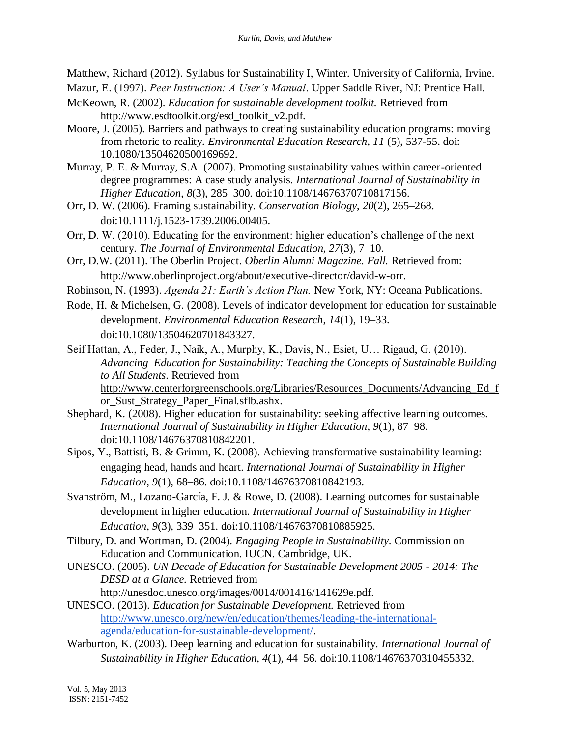Matthew, Richard (2012). Syllabus for Sustainability I, Winter. University of California, Irvine.

- Mazur, E. (1997). *Peer Instruction: A User's Manual*. Upper Saddle River, NJ: Prentice Hall.
- McKeown, R. (2002). *Education for sustainable development toolkit.* Retrieved from http://www.esdtoolkit.org/esd\_toolkit\_v2.pdf.
- Moore, J. (2005). Barriers and pathways to creating sustainability education programs: moving from rhetoric to reality. *Environmental Education Research, 11* (5), 537-55. doi: 10.1080/13504620500169692.
- Murray, P. E. & Murray, S.A. (2007). Promoting sustainability values within career-oriented degree programmes: A case study analysis. *International Journal of Sustainability in Higher Education*, *8*(3), 285–300. doi:10.1108/14676370710817156.
- Orr, D. W. (2006). Framing sustainability. *Conservation Biology*, *20*(2), 265–268. doi:10.1111/j.1523-1739.2006.00405.
- Orr, D. W. (2010). Educating for the environment: higher education's challenge of the next century. *The Journal of Environmental Education*, *27*(3), 7–10.
- Orr, D.W. (2011). The Oberlin Project. *Oberlin Alumni Magazine. Fall.* Retrieved from: [http://www.oberlinproject.org/about/executive-director/david-w-orr.](http://www.oberlinproject.org/about/executive-director/david-w-orr)
- Robinson, N. (1993). *Agenda 21: Earth's Action Plan.* New York, NY: Oceana Publications.
- Rode, H. & Michelsen, G. (2008). Levels of indicator development for education for sustainable development. *Environmental Education Research*, *14*(1), 19–33. doi:10.1080/13504620701843327.
- Seif Hattan, A., Feder, J., Naik, A., Murphy, K., Davis, N., Esiet, U… Rigaud, G. (2010). *Advancing Education for Sustainability: Teaching the Concepts of Sustainable Building to All Students*. Retrieved from [http://www.centerforgreenschools.org/Libraries/Resources\\_Documents/Advancing\\_Ed\\_f](http://www.centerforgreenschools.org/Libraries/Resources_Documents/Advancing_Ed_for_Sust_Strategy_Paper_Final.sflb.ashx) [or\\_Sust\\_Strategy\\_Paper\\_Final.sflb.ashx.](http://www.centerforgreenschools.org/Libraries/Resources_Documents/Advancing_Ed_for_Sust_Strategy_Paper_Final.sflb.ashx)
- Shephard, K. (2008). Higher education for sustainability: seeking affective learning outcomes. *International Journal of Sustainability in Higher Education*, *9*(1), 87–98. doi:10.1108/14676370810842201.
- Sipos, Y., Battisti, B. & Grimm, K. (2008). Achieving transformative sustainability learning: engaging head, hands and heart. *International Journal of Sustainability in Higher Education*, *9*(1), 68–86. doi:10.1108/14676370810842193.
- Svanström, M., Lozano-García, F. J. & Rowe, D. (2008). Learning outcomes for sustainable development in higher education. *International Journal of Sustainability in Higher Education*, *9*(3), 339–351. doi:10.1108/14676370810885925.
- Tilbury, D. and Wortman, D. (2004). *Engaging People in Sustainability*. Commission on Education and Communication. IUCN. Cambridge, UK.
- UNESCO. (2005). *UN Decade of Education for Sustainable Development 2005 - 2014: The DESD at a Glance.* Retrieved from [http://unesdoc.unesco.org/images/0014/001416/141629e.pdf.](http://unesdoc.unesco.org/images/0014/001416/141629e.pdf)
- UNESCO. (2013). *Education for Sustainable Development.* Retrieved from [http://www.unesco.org/new/en/education/themes/leading-the-international](http://www.unesco.org/new/en/education/themes/leading-the-international-agenda/education-for-sustainable-development/)[agenda/education-for-sustainable-development/.](http://www.unesco.org/new/en/education/themes/leading-the-international-agenda/education-for-sustainable-development/)
- Warburton, K. (2003). Deep learning and education for sustainability. *International Journal of Sustainability in Higher Education*, *4*(1), 44–56. doi:10.1108/14676370310455332.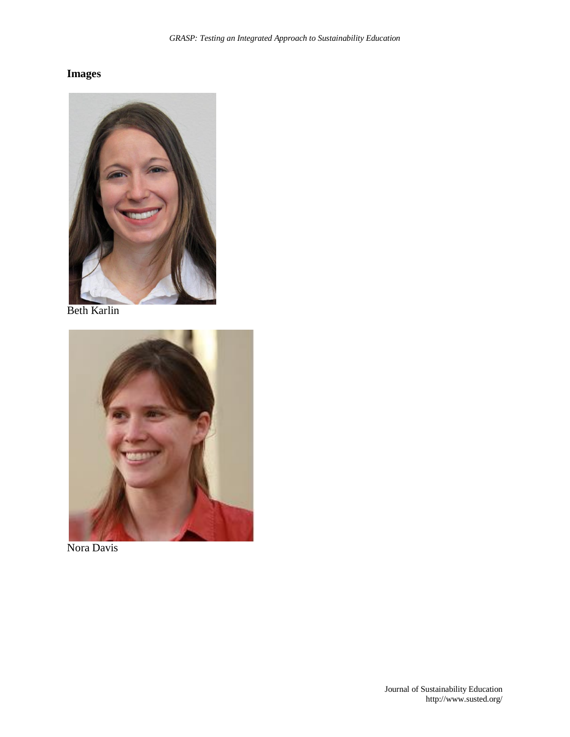# **Images**



Beth Karlin



Nora Davis